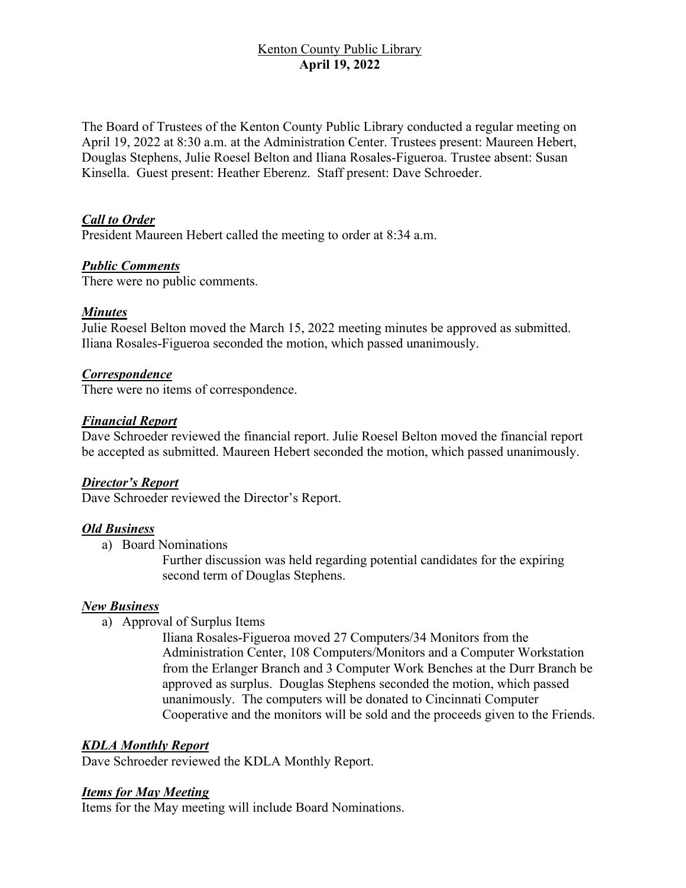# Kenton County Public Library **April 19, 2022**

The Board of Trustees of the Kenton County Public Library conducted a regular meeting on April 19, 2022 at 8:30 a.m. at the Administration Center. Trustees present: Maureen Hebert, Douglas Stephens, Julie Roesel Belton and Iliana Rosales-Figueroa. Trustee absent: Susan Kinsella. Guest present: Heather Eberenz. Staff present: Dave Schroeder.

## *Call to Order*

President Maureen Hebert called the meeting to order at 8:34 a.m.

#### *Public Comments*

There were no public comments.

## *Minutes*

Julie Roesel Belton moved the March 15, 2022 meeting minutes be approved as submitted. Iliana Rosales-Figueroa seconded the motion, which passed unanimously.

## *Correspondence*

There were no items of correspondence.

## *Financial Report*

Dave Schroeder reviewed the financial report. Julie Roesel Belton moved the financial report be accepted as submitted. Maureen Hebert seconded the motion, which passed unanimously.

#### *Director's Report*

Dave Schroeder reviewed the Director's Report.

#### *Old Business*

a) Board Nominations

Further discussion was held regarding potential candidates for the expiring second term of Douglas Stephens.

#### *New Business*

a) Approval of Surplus Items

Iliana Rosales-Figueroa moved 27 Computers/34 Monitors from the Administration Center, 108 Computers/Monitors and a Computer Workstation from the Erlanger Branch and 3 Computer Work Benches at the Durr Branch be approved as surplus. Douglas Stephens seconded the motion, which passed unanimously. The computers will be donated to Cincinnati Computer Cooperative and the monitors will be sold and the proceeds given to the Friends.

#### *KDLA Monthly Report*

Dave Schroeder reviewed the KDLA Monthly Report.

#### *Items for May Meeting*

Items for the May meeting will include Board Nominations.